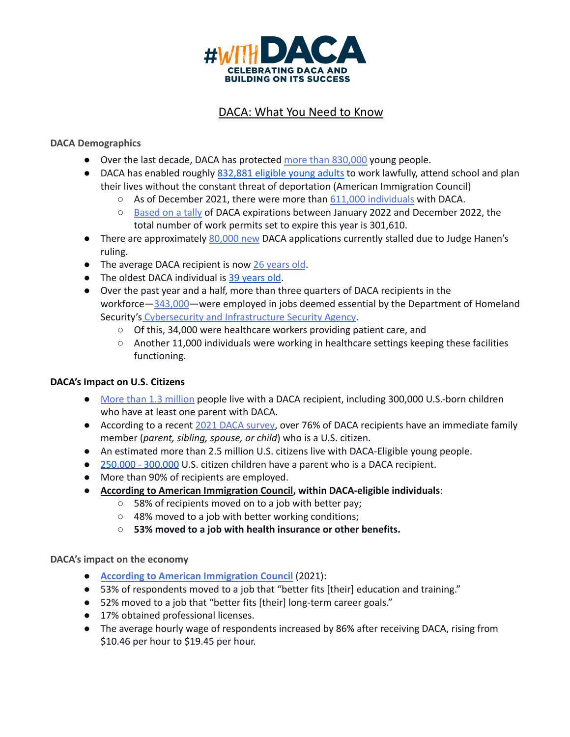

# DACA: What You Need to Know

### **DACA Demographics**

- Over the last decade, DACA has protected more than [830,000](https://www.uscis.gov/sites/default/files/document/data/DACA_performancedata_fy2021_qtr4.pdf) young people.
- DACA has enabled roughly [832,881](https://www.americanimmigrationcouncil.org/research/deferred-action-childhood-arrivals-daca-overview) eligible young adults to work lawfully, attend school and plan their lives without the constant threat of deportation (American Immigration Council)
	- As of December 2021, there were more than 611,000 [individuals](https://www.uscis.gov/sites/default/files/document/data/Active%20DACA%20Recipients%20%E2%80%93%20September%2030%2C%202021.pdf) with DACA.
	- [Based](https://www.uscis.gov/sites/default/files/document/data/Active%20DACA%20Recipients%20%E2%80%93%20September%2030%2C%202021.pdf) on a tally of DACA expirations between January 2022 and December 2022, the total number of work permits set to expire this year is 301,610.
- There are approximately [80,000](https://www.cbsnews.com/news/immigration-daca-applications-biden-administration-more-staff/) new DACA applications currently stalled due to Judge Hanen's ruling.
- The average DACA recipient is now 26 [years](https://www.americanprogress.org/press/release-new-cap-data-confirm-daca-is-a-positive-force-for-recipients-and-their-families/) old.
- The oldest DACA individual is 39 [years](https://www.americanprogress.org/press/release-new-cap-data-confirm-daca-is-a-positive-force-for-recipients-and-their-families/) old.
- Over the past year and a half, more than three quarters of DACA recipients in the workforce—[343,000](https://www.americanprogress.org/press/release-new-cap-data-confirm-daca-is-a-positive-force-for-recipients-and-their-families/)—were employed in jobs deemed essential by the Department of Homeland Security's Cybersecurity and [Infrastructure](https://www.cisa.gov/publication/guidance-essential-critical-infrastructure-workforce) Security Agency.
	- Of this, 34,000 were healthcare workers providing patient care, and
	- Another 11,000 individuals were working in healthcare settings keeping these facilities functioning.

#### **DACA's Impact on U.S. Citizens**

- More than 1.3 [million](https://www.americanprogress.org/press/release-new-cap-data-confirm-daca-is-a-positive-force-for-recipients-and-their-families/) people live with a DACA recipient, including 300,000 U.S.-born children who have at least one parent with DACA.
- According to a recent 2021 DACA [survey](https://cf.americanprogress.org/wp-content/uploads/2022/02/New-DACA-Survey-2021-Final.pdf), over 76% of DACA recipients have an immediate family member (*parent, sibling, spouse, or child*) who is a U.S. citizen.
- An estimated more than 2.5 million U.S. citizens live with DACA-Eligible young people.
- [250,000](https://www.americanprogress.org/article/know-daca-recipients-united-states/) 300,000 U.S. citizen children have a parent who is a DACA recipient.
- More than 90% of recipients are employed.
- **According to American [Immigration](https://www.americanimmigrationcouncil.org/research/deferred-action-childhood-arrivals-daca-overview) Council, within DACA-eligible individuals**:
	- 58% of recipients moved on to a job with better pay;
	- 48% moved to a job with better working conditions;
	- **○ 53% moved to a job with health insurance or other benefits.**

#### **DACA's impact on the economy**

- **According to American [Immigration](https://www.americanimmigrationcouncil.org/research/deferred-action-childhood-arrivals-daca-overview) Council** (2021):
- 53% of respondents moved to a job that "better fits [their] education and training."
- 52% moved to a job that "better fits [their] long-term career goals."
- 17% obtained professional licenses.
- The average hourly wage of respondents increased by 86% after receiving DACA, rising from \$10.46 per hour to \$19.45 per hour.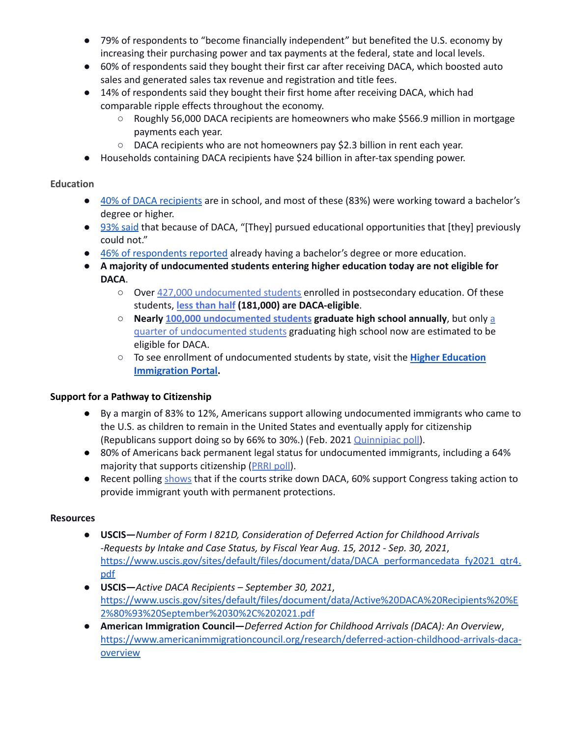- 79% of respondents to "become financially independent" but benefited the U.S. economy by increasing their purchasing power and tax payments at the federal, state and local levels.
- 60% of respondents said they bought their first car after receiving DACA, which boosted auto sales and generated sales tax revenue and registration and title fees.
- 14% of respondents said they bought their first home after receiving DACA, which had comparable ripple effects throughout the economy.
	- Roughly 56,000 DACA recipients are homeowners who make \$566.9 million in mortgage payments each year.
	- DACA recipients who are not homeowners pay \$2.3 billion in rent each year.
- Households containing DACA recipients have \$24 billion in after-tax spending power.

## **Education**

- 40% of DACA [recipients](https://www.americanimmigrationcouncil.org/research/deferred-action-childhood-arrivals-daca-overview) are in school, and most of these (83%) were working toward a bachelor's degree or higher.
- [93%](https://www.americanimmigrationcouncil.org/research/deferred-action-childhood-arrivals-daca-overview) said that because of DACA, "[They] pursued educational opportunities that [they] previously could not."
- 46% of [respondents](https://www.americanimmigrationcouncil.org/research/deferred-action-childhood-arrivals-daca-overview) reported already having a bachelor's degree or more education.
- **A majority of undocumented students entering higher education today are not eligible for DACA**.
	- Over 427,000 [undocumented](https://www.higheredimmigrationportal.org/research/undocumented-students-in-higher-education-updated-march-2021/) students enrolled in postsecondary education. Of these students, **less [than](https://www.higheredimmigrationportal.org/research/undocumented-students-in-higher-education-updated-march-2021/) half (181,000) are DACA-eligible**.
	- **Nearly 100,000 [undocumented](https://www.higheredimmigrationportal.org/research/migration-policy-institute-fact-sheet-on-number-of-dreamers-graduating-from-high-school/) students graduate high school annually**, but only [a](https://www.fwd.us/news/undocumented-high-school-graduates/) quarter of [undocumented](https://www.fwd.us/news/undocumented-high-school-graduates/) students graduating high school now are estimated to be eligible for DACA.
	- To see enrollment of undocumented students by state, visit the **Higher [Education](https://www.higheredimmigrationportal.org/states/) [Immigration](https://www.higheredimmigrationportal.org/states/) Portal.**

## **Support for a Pathway to Citizenship**

- By a margin of 83% to 12%, Americans support allowing undocumented immigrants who came to the U.S. as children to remain in the United States and eventually apply for citizenship (Republicans support doing so by 66% to 30%.) (Feb. 2021 [Quinnipiac](https://poll.qu.edu/images/polling/us/us02032021_uszn68.pdf) poll).
- 80% of Americans back permanent legal status for undocumented immigrants, including a 64% majority that supports citizenship ([PRRI](https://www.prri.org/wp-content/uploads/2021/01/PRRI-2021-Immigration-Post-Trump.pdf) poll).
- Recent polling [shows](https://static1.squarespace.com/static/5b60b2381aef1dbe876cd08f/t/6260036d231b2039b4f3609c/1650459501856/Immigration+Hub+-+Memo+-+2022+Poll+Results.FINAL.pdf) that if the courts strike down DACA, 60% support Congress taking action to provide immigrant youth with permanent protections.

## **Resources**

- **● USCIS—***Number of Form I 821D, Consideration of Deferred Action for Childhood Arrivals -Requests by Intake and Case Status, by Fiscal Year Aug. 15, 2012 - Sep. 30, 2021*, [https://www.uscis.gov/sites/default/files/document/data/DACA\\_performancedata\\_fy2021\\_qtr4.](https://www.uscis.gov/sites/default/files/document/data/DACA_performancedata_fy2021_qtr4.pdf) [pdf](https://www.uscis.gov/sites/default/files/document/data/DACA_performancedata_fy2021_qtr4.pdf)
- **USCIS—***Active DACA Recipients – September 30, 2021*, [https://www.uscis.gov/sites/default/files/document/data/Active%20DACA%20Recipients%20%E](https://www.uscis.gov/sites/default/files/document/data/Active%20DACA%20Recipients%20%E2%80%93%20September%2030%2C%202021.pdf) [2%80%93%20September%2030%2C%202021.pdf](https://www.uscis.gov/sites/default/files/document/data/Active%20DACA%20Recipients%20%E2%80%93%20September%2030%2C%202021.pdf)
- **American Immigration Council—***Deferred Action for Childhood Arrivals (DACA): An Overview*, [https://www.americanimmigrationcouncil.org/research/deferred-action-childhood-arrivals-daca](https://www.americanimmigrationcouncil.org/research/deferred-action-childhood-arrivals-daca-overview)**[overview](https://www.americanimmigrationcouncil.org/research/deferred-action-childhood-arrivals-daca-overview)**